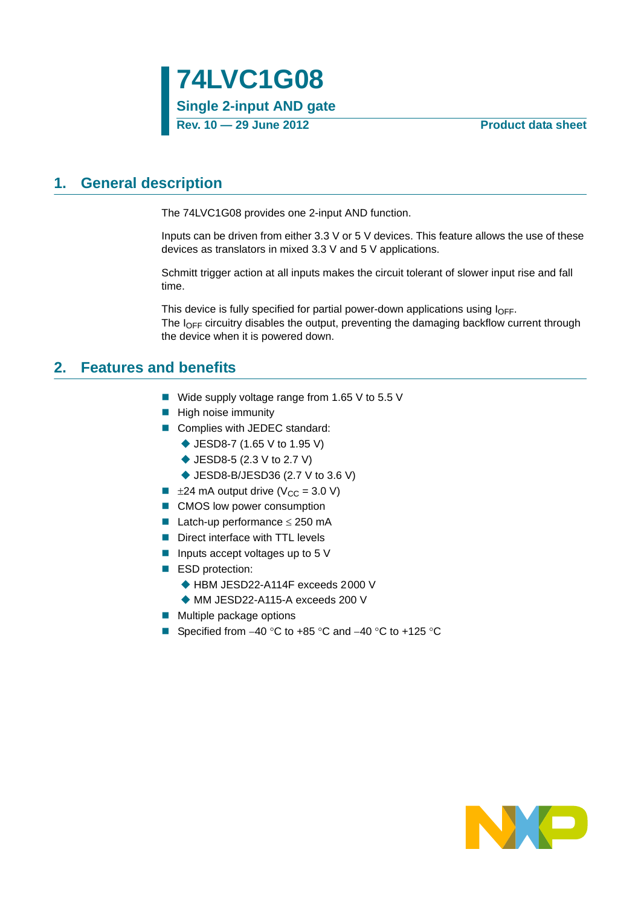## <span id="page-0-0"></span>**1. General description**

The 74LVC1G08 provides one 2-input AND function.

Inputs can be driven from either 3.3 V or 5 V devices. This feature allows the use of these devices as translators in mixed 3.3 V and 5 V applications.

Schmitt trigger action at all inputs makes the circuit tolerant of slower input rise and fall time.

This device is fully specified for partial power-down applications using  $I_{\text{OFF}}$ . The  $I<sub>OFF</sub>$  circuitry disables the output, preventing the damaging backflow current through the device when it is powered down.

### <span id="page-0-1"></span>**2. Features and benefits**

- Wide supply voltage range from 1.65 V to 5.5 V
- **High noise immunity**
- Complies with JEDEC standard:
	- ◆ JESD8-7 (1.65 V to 1.95 V)
	- ◆ JESD8-5 (2.3 V to 2.7 V)
	- ◆ JESD8-B/JESD36 (2.7 V to 3.6 V)
- $\blacksquare$   $\pm$ 24 mA output drive (V<sub>CC</sub> = 3.0 V)
- CMOS low power consumption
- **Latch-up performance**  $\leq$  **250 mA**
- Direct interface with TTL levels
- **Inputs accept voltages up to 5 V**
- ESD protection:
	- ◆ HBM JESD22-A114F exceeds 2000 V
	- MM JESD22-A115-A exceeds 200 V
- $\blacksquare$  Multiple package options
- Specified from  $-40$  °C to  $+85$  °C and  $-40$  °C to  $+125$  °C

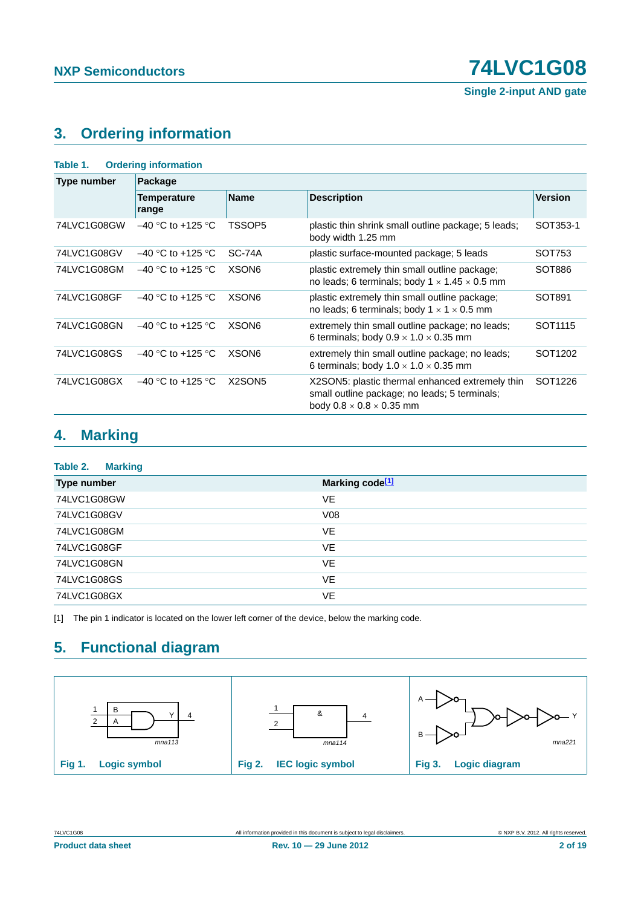## <span id="page-1-1"></span>**3. Ordering information**

| Table 1.           | <b>Ordering information</b> |                                 |                                                                                                                                          |                     |  |  |  |  |
|--------------------|-----------------------------|---------------------------------|------------------------------------------------------------------------------------------------------------------------------------------|---------------------|--|--|--|--|
| <b>Type number</b> | Package                     |                                 |                                                                                                                                          |                     |  |  |  |  |
|                    | Temperature<br>range        | <b>Name</b>                     | <b>Description</b>                                                                                                                       | <b>Version</b>      |  |  |  |  |
| 74LVC1G08GW        | $-40$ °C to +125 °C         | TSSOP5                          | plastic thin shrink small outline package; 5 leads;<br>body width 1.25 mm                                                                | SOT353-1            |  |  |  |  |
| 74LVC1G08GV        | $-40$ °C to +125 °C         | SC-74A                          | plastic surface-mounted package; 5 leads                                                                                                 | SOT753              |  |  |  |  |
| 74LVC1G08GM        | $-40$ °C to +125 °C         | XSON <sub>6</sub>               | plastic extremely thin small outline package;<br>no leads; 6 terminals; body $1 \times 1.45 \times 0.5$ mm                               | SOT886              |  |  |  |  |
| 74LVC1G08GF        | $-40$ °C to +125 °C         | XSON <sub>6</sub>               | plastic extremely thin small outline package;<br>no leads; 6 terminals; body $1 \times 1 \times 0.5$ mm                                  | SOT891              |  |  |  |  |
| 74LVC1G08GN        | $-40$ °C to +125 °C         | XSON <sub>6</sub>               | extremely thin small outline package; no leads;<br>6 terminals; body $0.9 \times 1.0 \times 0.35$ mm                                     | SOT <sub>1115</sub> |  |  |  |  |
| 74LVC1G08GS        | $-40$ °C to +125 °C         | XSON <sub>6</sub>               | extremely thin small outline package; no leads;<br>6 terminals; body $1.0 \times 1.0 \times 0.35$ mm                                     | SOT1202             |  |  |  |  |
| 74LVC1G08GX        | $-40$ °C to +125 °C         | X <sub>2</sub> SON <sub>5</sub> | X2SON5: plastic thermal enhanced extremely thin<br>small outline package; no leads; 5 terminals;<br>body $0.8 \times 0.8 \times 0.35$ mm | SOT1226             |  |  |  |  |

## <span id="page-1-2"></span>**4. Marking**

| Table 2.<br><b>Marking</b> |                             |
|----------------------------|-----------------------------|
| Type number                | Marking code <sup>[1]</sup> |
| 74LVC1G08GW                | VE                          |
| 74LVC1G08GV                | V08                         |
| 74LVC1G08GM                | VE                          |
| 74LVC1G08GF                | <b>VE</b>                   |
| 74LVC1G08GN                | VE                          |
| 74LVC1G08GS                | <b>VE</b>                   |
| 74LVC1G08GX                | <b>VE</b>                   |

<span id="page-1-0"></span>[1] The pin 1 indicator is located on the lower left corner of the device, below the marking code.

## <span id="page-1-3"></span>**5. Functional diagram**

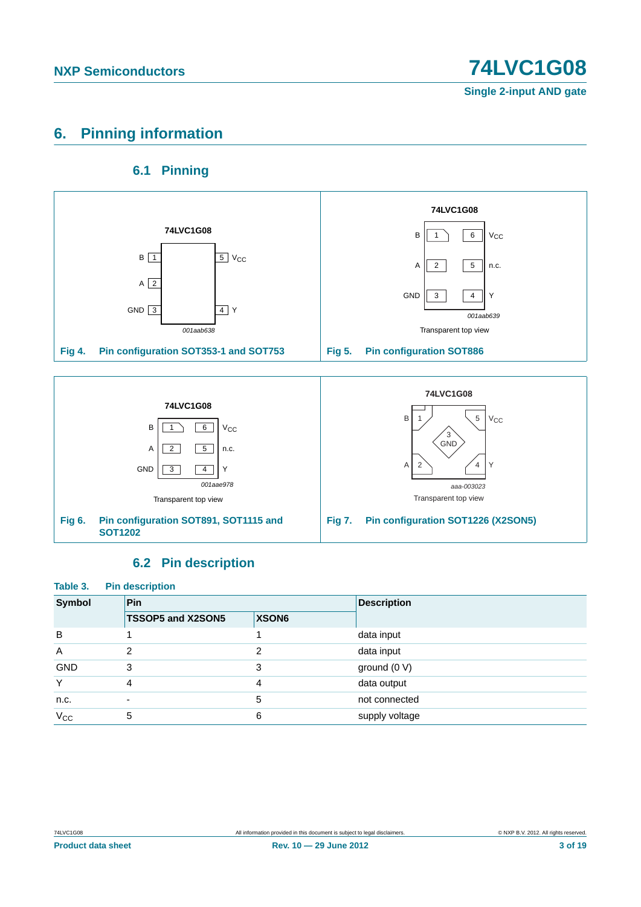## <span id="page-2-0"></span>**6. Pinning information**

### **6.1 Pinning**

<span id="page-2-1"></span>

### **6.2 Pin description**

<span id="page-2-2"></span>

| Table 3.<br><b>Pin description</b> |                          |       |                    |  |  |
|------------------------------------|--------------------------|-------|--------------------|--|--|
| <b>Symbol</b>                      | <b>Pin</b>               |       | <b>Description</b> |  |  |
|                                    | TSSOP5 and X2SON5        | XSON6 |                    |  |  |
| B                                  |                          |       | data input         |  |  |
| A                                  | $\mathfrak{p}$           | 2     | data input         |  |  |
| <b>GND</b>                         | 3                        | 3     | ground $(0 V)$     |  |  |
| Υ                                  | 4                        | 4     | data output        |  |  |
| n.c.                               | $\overline{\phantom{a}}$ | 5     | not connected      |  |  |
| $V_{\rm CC}$                       | 5                        | 6     | supply voltage     |  |  |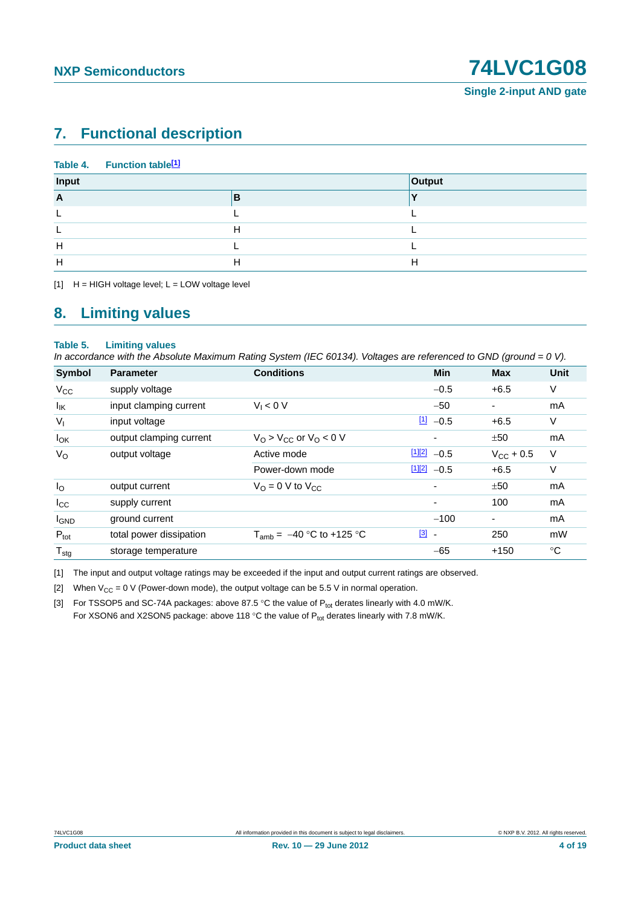## <span id="page-3-4"></span>**7. Functional description**

| Input<br>Output   |  |
|-------------------|--|
| $\mathsf{A}$<br>В |  |
|                   |  |
| н                 |  |
| H                 |  |
| H<br>Н<br>п       |  |

<span id="page-3-0"></span> $[1]$  H = HIGH voltage level; L = LOW voltage level

### <span id="page-3-5"></span>**8. Limiting values**

#### **Table 5. Limiting values**

*In accordance with the Absolute Maximum Rating System (IEC 60134). Voltages are referenced to GND (ground = 0 V).*

| Symbol           | <b>Parameter</b>        | <b>Conditions</b>                     | <b>Min</b>                              | <b>Max</b>     | <b>Unit</b> |
|------------------|-------------------------|---------------------------------------|-----------------------------------------|----------------|-------------|
| $V_{CC}$         | supply voltage          |                                       | $-0.5$                                  | $+6.5$         | V           |
| $I_{IK}$         | input clamping current  | $V_1 < 0 V$                           | $-50$                                   | ۰              | mA          |
| $V_{I}$          | input voltage           |                                       | $11 - 0.5$                              | $+6.5$         | V           |
| $I_{OK}$         | output clamping current | $VO > VCC$ or $VO < 0$ V              | ۰                                       | ±50            | mA          |
| $V_{\rm O}$      | output voltage          | Active mode                           | $112$ -0.5                              | $V_{CC}$ + 0.5 | $\vee$      |
|                  |                         | Power-down mode                       | $1122 - 0.5$                            | $+6.5$         | V           |
| $I_{\rm O}$      | output current          | $V_{\Omega} = 0$ V to $V_{\text{CC}}$ | ۰                                       | ±50            | mA          |
| $I_{\rm CC}$     | supply current          |                                       | ٠                                       | 100            | mA          |
| <b>I</b> GND     | ground current          |                                       | $-100$                                  | ٠              | mA          |
| $P_{\text{tot}}$ | total power dissipation | $T_{amb} = -40$ °C to +125 °C         | $\boxed{3}$<br>$\overline{\phantom{a}}$ | 250            | mW          |
| $T_{\text{stg}}$ | storage temperature     |                                       | $-65$                                   | $+150$         | °C          |

<span id="page-3-1"></span>[1] The input and output voltage ratings may be exceeded if the input and output current ratings are observed.

<span id="page-3-2"></span>[2] When  $V_{CC} = 0$  V (Power-down mode), the output voltage can be 5.5 V in normal operation.

<span id="page-3-3"></span>[3] For TSSOP5 and SC-74A packages: above 87.5 °C the value of  $P_{tot}$  derates linearly with 4.0 mW/K. For XSON6 and X2SON5 package: above 118 °C the value of  $P_{tot}$  derates linearly with 7.8 mW/K.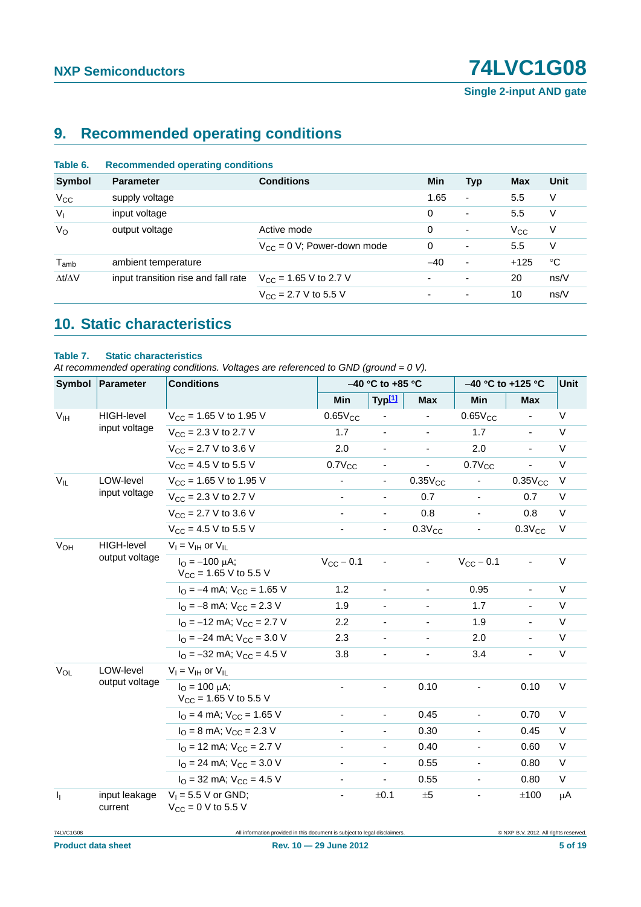**Single 2-input AND gate**

## <span id="page-4-0"></span>**9. Recommended operating conditions**

| Table 6.            | <b>Recommended operating conditions</b> |                                          |                          |                          |              |             |
|---------------------|-----------------------------------------|------------------------------------------|--------------------------|--------------------------|--------------|-------------|
| Symbol              | <b>Parameter</b>                        | <b>Conditions</b>                        | Min                      | <b>Typ</b>               | <b>Max</b>   | Unit        |
| $V_{\rm CC}$        | supply voltage                          |                                          | 1.65                     | $\overline{\phantom{a}}$ | 5.5          | V           |
| V <sub>1</sub>      | input voltage                           |                                          | $\Omega$                 | ٠                        | 5.5          | V           |
| $V_{\rm O}$         | output voltage                          | Active mode                              | $\Omega$                 | ٠                        | $V_{\rm CC}$ | V           |
|                     |                                         | $V_{CC} = 0$ V; Power-down mode          | 0                        | ٠                        | 5.5          | V           |
| $T_{amb}$           | ambient temperature                     |                                          | $-40$                    | ۰                        | $+125$       | $^{\circ}C$ |
| $\Delta t/\Delta V$ | input transition rise and fall rate     | $V_{\text{CC}}$ = 1.65 V to 2.7 V        | $\blacksquare$           |                          | 20           | ns/V        |
|                     |                                         | $V_{\text{CC}} = 2.7 \text{ V}$ to 5.5 V | $\overline{\phantom{a}}$ | ٠                        | 10           | ns/V        |

## <span id="page-4-1"></span>**10. Static characteristics**

#### **Table 7. Static characteristics**

*At recommended operating conditions. Voltages are referenced to GND (ground = 0 V).*

|                       | Symbol   Parameter                  | <b>Conditions</b>                                                 |                          | $-40$ °C to +85 °C       |                          | -40 °C to +125 °C            |                          | <b>Unit</b> |
|-----------------------|-------------------------------------|-------------------------------------------------------------------|--------------------------|--------------------------|--------------------------|------------------------------|--------------------------|-------------|
|                       |                                     |                                                                   | Min                      | Typ[1]                   | <b>Max</b>               | Min                          | <b>Max</b>               |             |
| V <sub>IH</sub>       | <b>HIGH-level</b>                   | $V_{CC}$ = 1.65 V to 1.95 V                                       | $0.65V_{CC}$             |                          |                          | $0.65V_{CC}$                 | $\blacksquare$           | $\vee$      |
|                       | input voltage                       | $V_{CC}$ = 2.3 V to 2.7 V                                         | 1.7                      | $\overline{\phantom{a}}$ | $\overline{\phantom{a}}$ | 1.7                          | $\overline{\phantom{a}}$ | V           |
|                       |                                     | $V_{CC}$ = 2.7 V to 3.6 V                                         | 2.0                      | $\overline{\phantom{a}}$ |                          | 2.0                          | $\overline{\phantom{a}}$ | $\vee$      |
|                       |                                     | $V_{CC}$ = 4.5 V to 5.5 V                                         | $0.7V_{CC}$              |                          | $\overline{\phantom{a}}$ | $0.7V_{CC}$                  |                          | $\vee$      |
| $V_{IL}$              | LOW-level                           | $V_{CC}$ = 1.65 V to 1.95 V                                       | $\blacksquare$           | $\blacksquare$           | $0.35V_{CC}$             | $\frac{1}{2}$                | $0.35V_{CC}$             | $\vee$      |
|                       | input voltage                       | $V_{CC}$ = 2.3 V to 2.7 V                                         |                          | $\overline{\phantom{a}}$ | 0.7                      |                              | 0.7                      | V           |
|                       |                                     | $V_{\text{CC}} = 2.7 \text{ V}$ to 3.6 V                          |                          | ÷,                       | 0.8                      |                              | 0.8                      | $\vee$      |
|                       |                                     | $V_{CC}$ = 4.5 V to 5.5 V                                         |                          | $\overline{\phantom{a}}$ | $0.3V_{CC}$              |                              | $0.3V_{CC}$              | $\vee$      |
| $V_{OH}$              | <b>HIGH-level</b><br>output voltage | $V_I = V_{IH}$ or $V_{IL}$                                        |                          |                          |                          |                              |                          |             |
|                       |                                     | $I_{\Omega} = -100 \mu A$ ;<br>$V_{CC}$ = 1.65 V to 5.5 V         | $V_{CC}$ – 0.1           |                          |                          | $V_{CC}$ - 0.1               |                          | $\vee$      |
|                       |                                     | $I_{\Omega} = -4$ mA; $V_{\text{CC}} = 1.65$ V                    | 1.2                      | $\blacksquare$           | $\overline{\phantom{a}}$ | 0.95                         | $\overline{\phantom{a}}$ | $\vee$      |
|                       |                                     | $I_{\rm O}$ = -8 mA; $V_{\rm CC}$ = 2.3 V                         | 1.9                      | $\overline{\phantom{a}}$ | $\overline{\phantom{a}}$ | 1.7                          | $\overline{\phantom{a}}$ | $\vee$      |
|                       |                                     | $I_{\Omega}$ = -12 mA; $V_{\text{CC}}$ = 2.7 V                    | 2.2                      |                          |                          | 1.9                          | $\overline{\phantom{a}}$ | $\vee$      |
|                       |                                     | $I_{\text{O}} = -24 \text{ mA}$ ; $V_{\text{CC}} = 3.0 \text{ V}$ | 2.3                      |                          |                          | 2.0                          |                          | $\vee$      |
|                       |                                     | $I_{\Omega}$ = -32 mA; $V_{\text{CC}}$ = 4.5 V                    | 3.8                      | $\overline{\phantom{a}}$ |                          | 3.4                          | $\blacksquare$           | $\vee$      |
| <b>V<sub>OL</sub></b> | LOW-level<br>output voltage         | $V_I = V_{IH}$ or $V_{IL}$                                        |                          |                          |                          |                              |                          |             |
|                       |                                     | $I_{O} = 100 \mu A$ ;<br>$V_{CC}$ = 1.65 V to 5.5 V               |                          |                          | 0.10                     |                              | 0.10                     | $\vee$      |
|                       |                                     | $IO = 4 mA$ ; $VCC = 1.65 V$                                      |                          | $\blacksquare$           | 0.45                     | ä,                           | 0.70                     | $\vee$      |
|                       |                                     | $I_{\text{O}} = 8 \text{ mA}$ ; $V_{\text{CC}} = 2.3 \text{ V}$   |                          | $\overline{\phantom{a}}$ | 0.30                     | $\qquad \qquad \blacksquare$ | 0.45                     | $\vee$      |
|                       |                                     | $IO$ = 12 mA; $VCC$ = 2.7 V                                       | $\overline{\phantom{a}}$ | $\blacksquare$           | 0.40                     | $\overline{\phantom{0}}$     | 0.60                     | $\vee$      |
|                       |                                     | $IO = 24$ mA; $VCC = 3.0$ V                                       |                          | $\overline{\phantom{a}}$ | 0.55                     |                              | 0.80                     | $\vee$      |
|                       |                                     | $IO$ = 32 mA; $VCC$ = 4.5 V                                       |                          |                          | 0.55                     |                              | 0.80                     | $\vee$      |
| $I_1$                 | input leakage<br>current            | $V_1 = 5.5 V$ or GND;<br>$V_{CC} = 0 V$ to 5.5 V                  | $\overline{\phantom{a}}$ | ±0.1                     | ±5                       | -                            | ±100                     | μA          |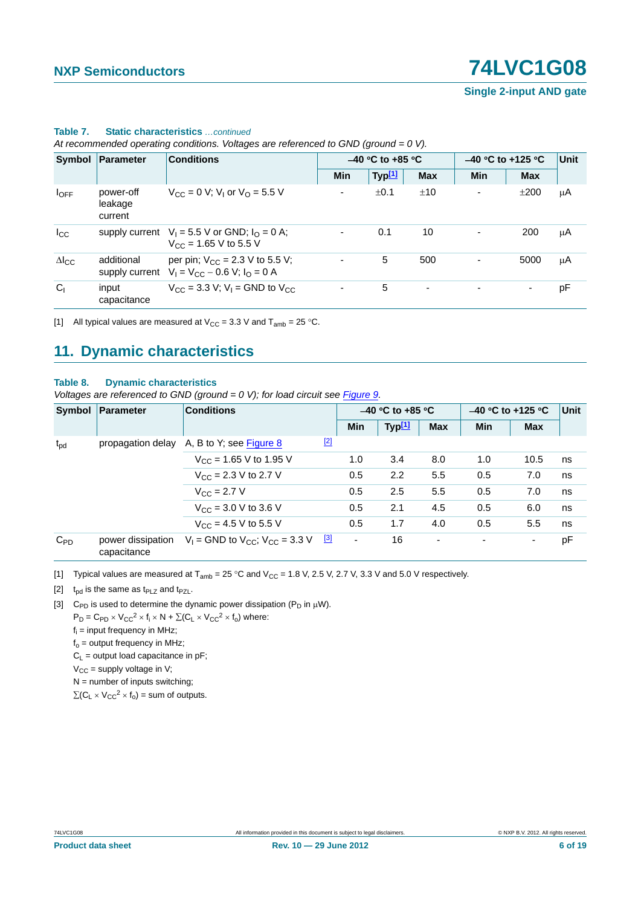**Single 2-input AND gate**

|                 | Symbol Parameter                | <b>Conditions</b>                                                                          |                          | $-40$ °C to +85 °C |                          |     | $-40$ °C to +125 °C |    |  |
|-----------------|---------------------------------|--------------------------------------------------------------------------------------------|--------------------------|--------------------|--------------------------|-----|---------------------|----|--|
|                 |                                 |                                                                                            | <b>Min</b>               | Typ <sup>[1]</sup> | <b>Max</b>               | Min | <b>Max</b>          |    |  |
| $I_{OFF}$       | power-off<br>leakage<br>current | $V_{\text{CC}} = 0$ V; V <sub>1</sub> or V <sub>O</sub> = 5.5 V                            | $\overline{\phantom{a}}$ | ±0.1               | ±10                      |     | ±200                | μA |  |
| $I_{\rm CC}$    |                                 | supply current $V_1 = 5.5$ V or GND; $I_0 = 0$ A;<br>$V_{CC}$ = 1.65 V to 5.5 V            | $\overline{\phantom{a}}$ | 0.1                | 10                       |     | 200                 | μA |  |
| $\Delta I_{CC}$ | additional                      | per pin; $V_{CC} = 2.3$ V to 5.5 V;<br>supply current $V_1 = V_{CC} - 0.6 V$ ; $I_0 = 0 A$ | $\overline{\phantom{a}}$ | 5                  | 500                      |     | 5000                | μA |  |
| C <sub>1</sub>  | input<br>capacitance            | $V_{\text{CC}} = 3.3 \text{ V}; V_1 = \text{GND}$ to $V_{\text{CC}}$                       | -                        | 5                  | $\overline{\phantom{a}}$ |     |                     | рF |  |

#### **Table 7. Static characteristics** *…continued*

*At recommended operating conditions. Voltages are referenced to GND (ground = 0 V).*

<span id="page-5-0"></span>[1] All typical values are measured at  $V_{CC} = 3.3$  V and  $T_{amb} = 25$  °C.

## <span id="page-5-4"></span>**11. Dynamic characteristics**

#### **Table 8. Dynamic characteristics**

*Voltages are referenced to GND (ground = 0 V); for load circuit see [Figure 9.](#page-7-0)* 

|              | Symbol   Parameter               | <b>Conditions</b>                          |             | $-40$ °C to +85 °C       |                    |            | $-40$ °C to +125 °C |            | <b>Unit</b> |
|--------------|----------------------------------|--------------------------------------------|-------------|--------------------------|--------------------|------------|---------------------|------------|-------------|
|              |                                  |                                            |             | Min                      | Typ <sup>[1]</sup> | <b>Max</b> | <b>Min</b>          | <b>Max</b> |             |
| $t_{\rm pd}$ | propagation delay                | A, B to Y; see Figure $8$                  | $\boxed{2}$ |                          |                    |            |                     |            |             |
|              |                                  | $V_{CC}$ = 1.65 V to 1.95 V                |             | 1.0                      | 3.4                | 8.0        | 1.0                 | 10.5       | ns          |
|              |                                  | $V_{\text{CC}} = 2.3 \text{ V}$ to 2.7 V   |             | 0.5                      | 2.2                | 5.5        | 0.5                 | 7.0        | ns          |
|              |                                  | $V_{C}$ = 2.7 V                            |             | 0.5                      | 2.5                | 5.5        | 0.5                 | 7.0        | ns          |
|              |                                  | $V_{\text{CC}} = 3.0 \text{ V}$ to 3.6 V   |             | 0.5                      | 2.1                | 4.5        | 0.5                 | 6.0        | ns          |
|              |                                  | $V_{CC}$ = 4.5 V to 5.5 V                  |             | 0.5                      | 1.7                | 4.0        | 0.5                 | 5.5        | ns          |
| $C_{PD}$     | power dissipation<br>capacitance | $V_1$ = GND to $V_{CC}$ ; $V_{CC}$ = 3.3 V | $\boxed{3}$ | $\overline{\phantom{a}}$ | 16                 | ۰          | ۰                   | ۰          | pF          |

<span id="page-5-1"></span>[1] Typical values are measured at  $T_{amb} = 25 \degree C$  and  $V_{CC} = 1.8$  V, 2.5 V, 2.7 V, 3.3 V and 5.0 V respectively.

<span id="page-5-2"></span>[2]  $t_{\text{od}}$  is the same as  $t_{\text{PLZ}}$  and  $t_{\text{PZL}}$ .

<span id="page-5-3"></span>[3] C<sub>PD</sub> is used to determine the dynamic power dissipation ( $P_D$  in  $\mu$ W).

 $P_D = C_{PD} \times V_{CC}^2 \times f_i \times N + \Sigma (C_L \times V_{CC}^2 \times f_o)$  where:

 $f_i$  = input frequency in MHz;

 $f<sub>o</sub>$  = output frequency in MHz;

 $C_1$  = output load capacitance in pF;

 $V_{CC}$  = supply voltage in V;

 $N =$  number of inputs switching;

 $\sum (C_L \times V_{CC}^2 \times f_0)$  = sum of outputs.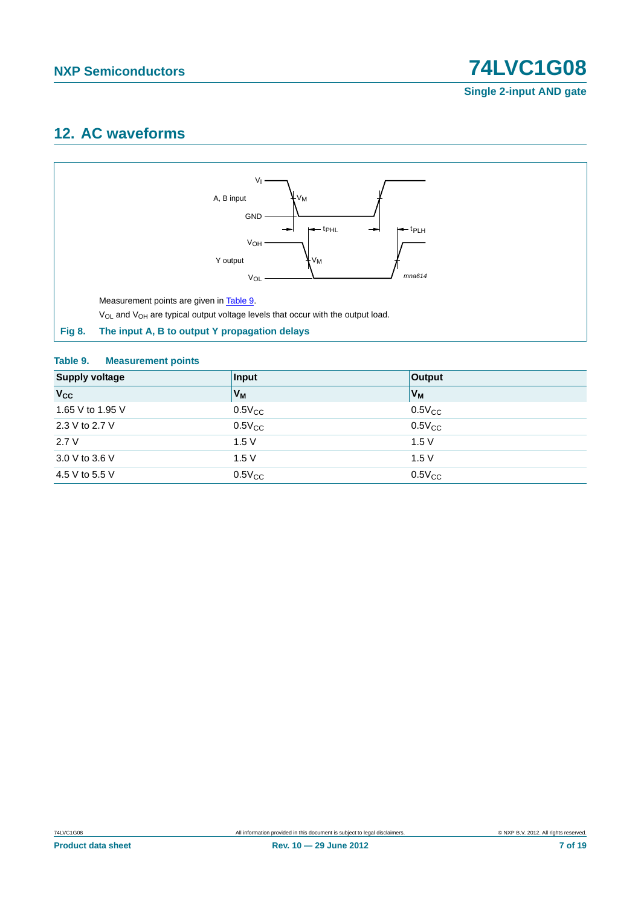## <span id="page-6-2"></span>**12. AC waveforms**



#### <span id="page-6-1"></span><span id="page-6-0"></span>**Table 9. Measurement points**

| <b>Supply voltage</b> | Input       | Output         |
|-----------------------|-------------|----------------|
| <b>V<sub>cc</sub></b> | $V_M$       | V <sub>M</sub> |
| 1.65 V to 1.95 V      | $0.5V_{CC}$ | $0.5V_{CC}$    |
| 2.3 V to 2.7 V        | $0.5V_{CC}$ | $0.5V_{CC}$    |
| 2.7V                  | 1.5V        | 1.5V           |
| 3.0 V to 3.6 V        | 1.5V        | 1.5V           |
| 4.5 V to 5.5 V        | $0.5V_{CC}$ | $0.5V_{CC}$    |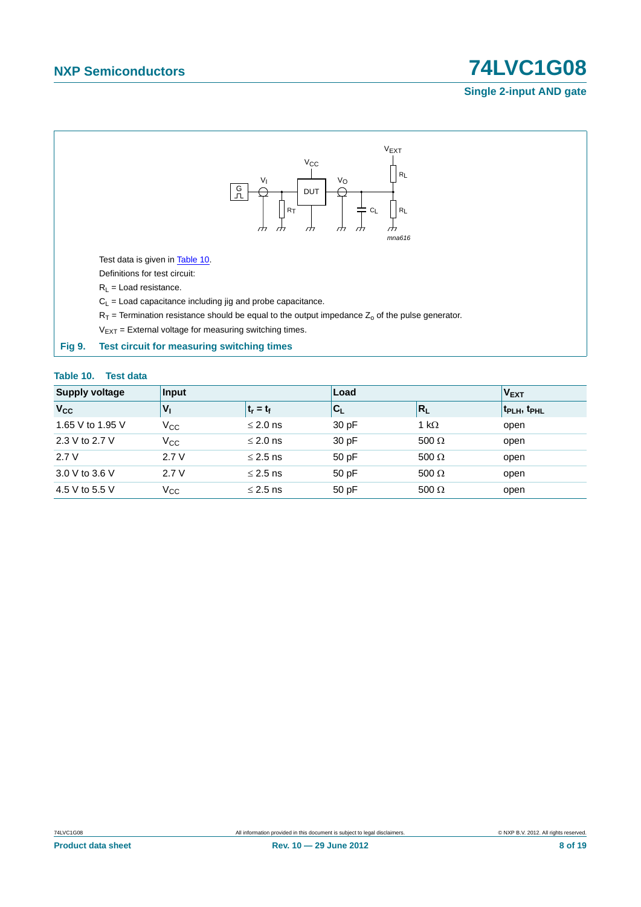#### **Single 2-input AND gate**



#### <span id="page-7-1"></span><span id="page-7-0"></span>**Table 10. Test data**

| <b>Supply voltage</b> | Input        |               | Load                          |              | V <sub>EXT</sub>                    |
|-----------------------|--------------|---------------|-------------------------------|--------------|-------------------------------------|
| $V_{\rm CC}$          | v,           | $t_r = t_f$   | ${}^{\dagger}$ C <sub>L</sub> | $R_L$        | t <sub>PLH</sub> , t <sub>PHL</sub> |
| 1.65 V to 1.95 V      | $V_{\rm CC}$ | $\leq$ 2.0 ns | 30 pF                         | 1 k $\Omega$ | open                                |
| 2.3 V to 2.7 V        | $V_{\rm CC}$ | $\leq$ 2.0 ns | 30 pF                         | 500 $\Omega$ | open                                |
| 2.7V                  | 2.7V         | $\leq$ 2.5 ns | 50pF                          | 500 $\Omega$ | open                                |
| 3.0 V to 3.6 V        | 2.7V         | $\leq$ 2.5 ns | 50pF                          | 500 $\Omega$ | open                                |
| 4.5 V to 5.5 V        | $\rm V_{CC}$ | $\leq$ 2.5 ns | 50 pF                         | 500 $\Omega$ | open                                |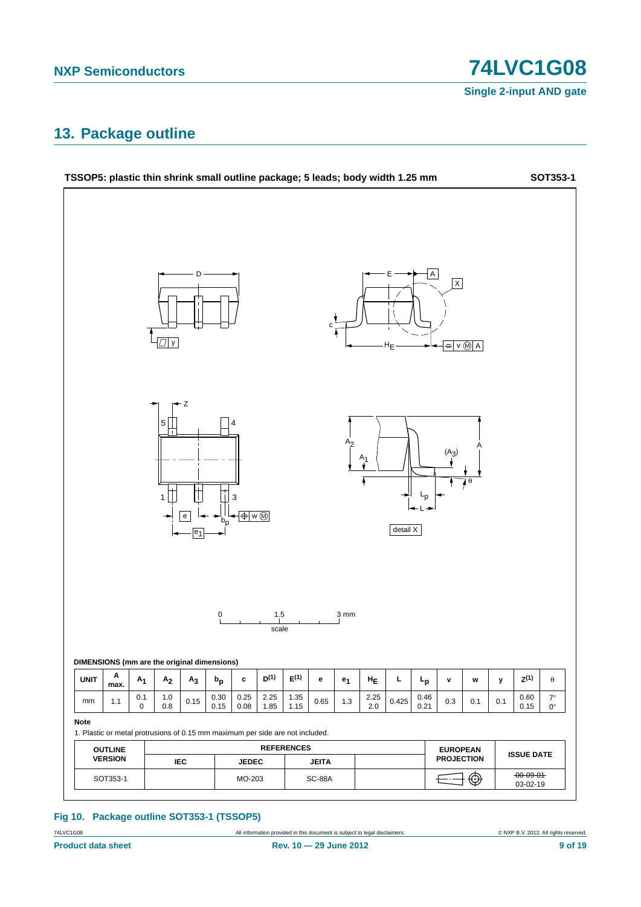**Single 2-input AND gate**

## <span id="page-8-0"></span>**13. Package outline**



#### **Fig 10. Package outline SOT353-1 (TSSOP5)**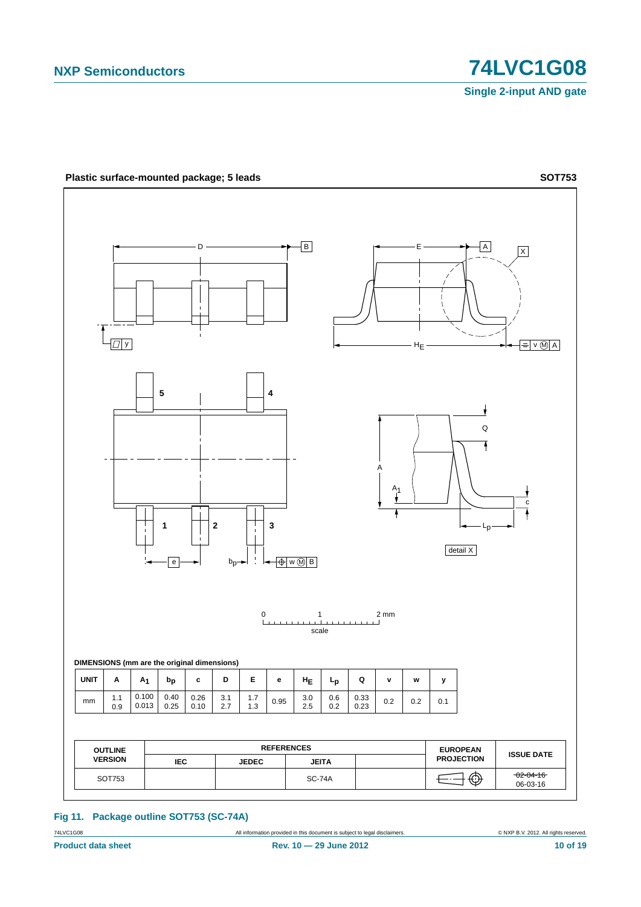**Single 2-input AND gate**



#### **Fig 11. Package outline SOT753 (SC-74A)**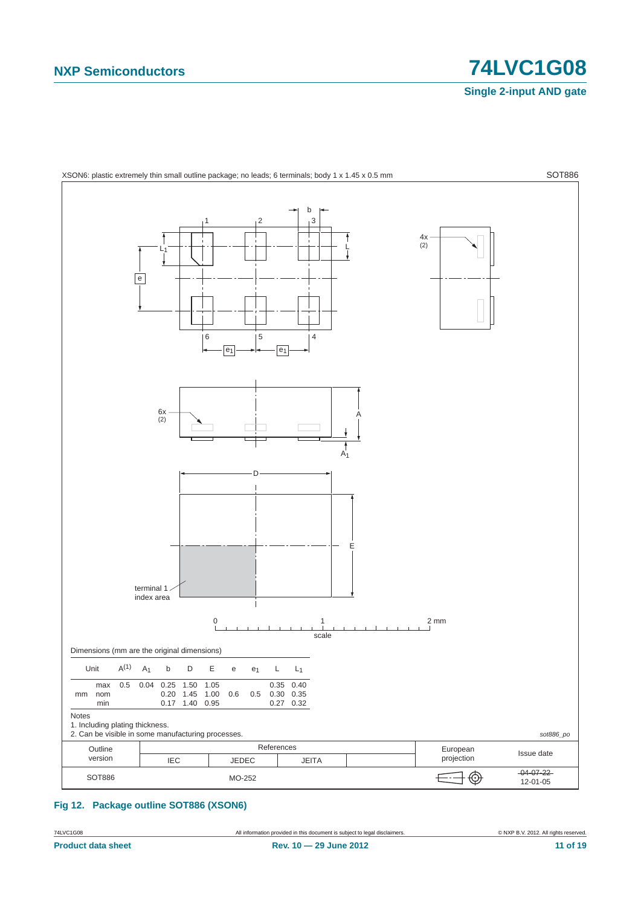**Single 2-input AND gate**



<span id="page-10-0"></span>**Fig 12. Package outline SOT886 (XSON6)**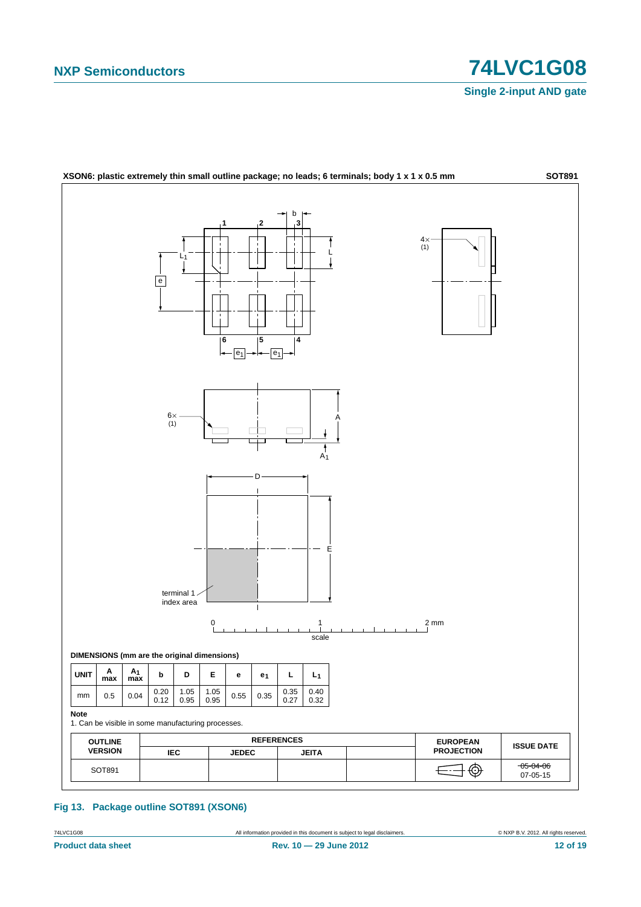**Single 2-input AND gate**



#### **Fig 13. Package outline SOT891 (XSON6)**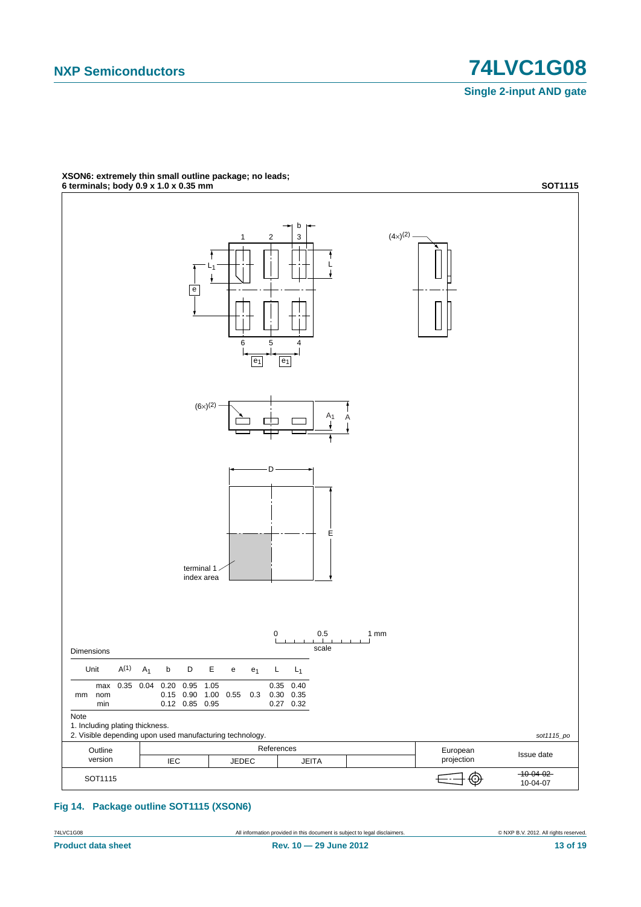

## **XSON6: extremely thin small outline package; no leads;**

**Fig 14. Package outline SOT1115 (XSON6)**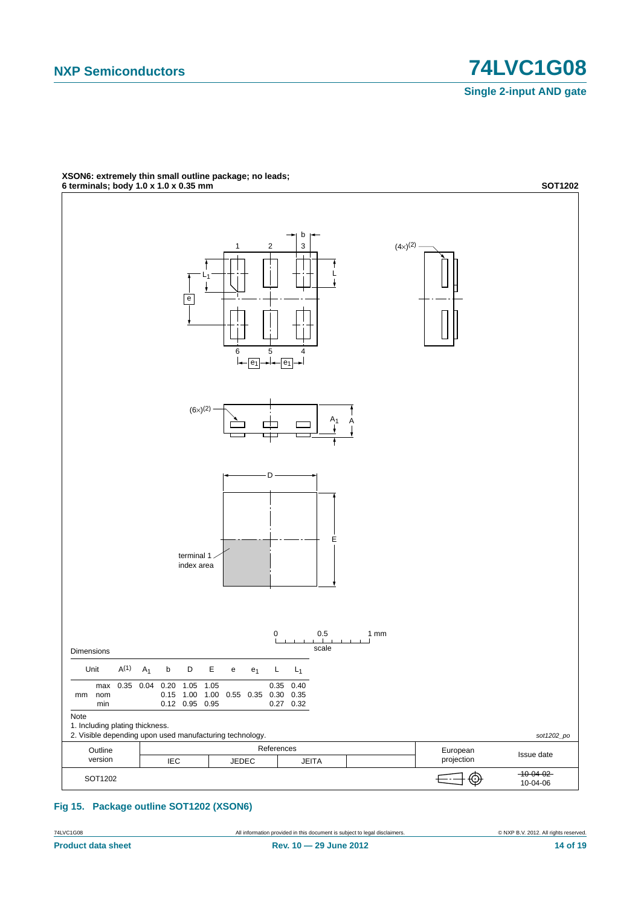

**XSON6: extremely thin small outline package; no leads;**

**Fig 15. Package outline SOT1202 (XSON6)**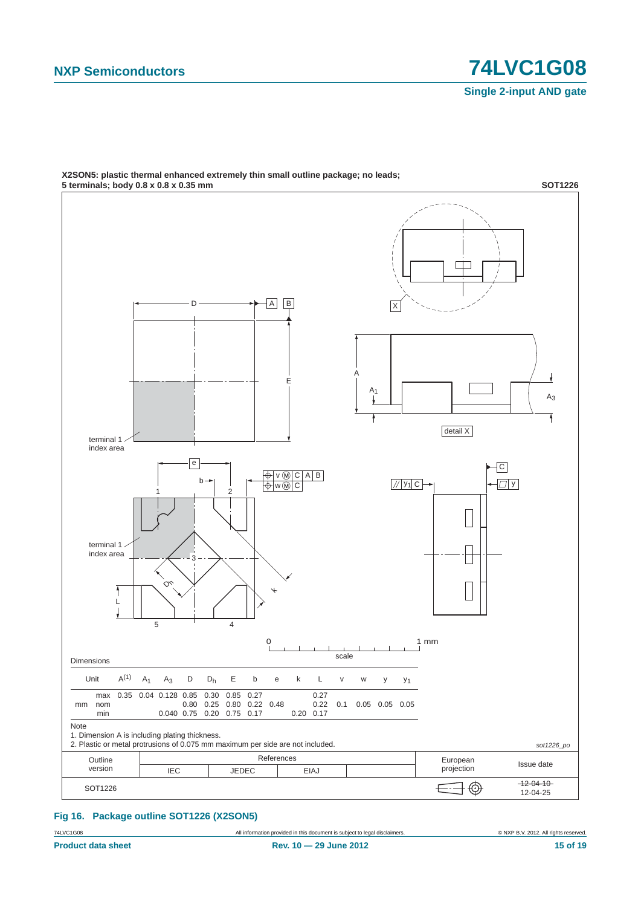

**X2SON5: plastic thermal enhanced extremely thin small outline package; no leads;**

#### **Fig 16. Package outline SOT1226 (X2SON5)**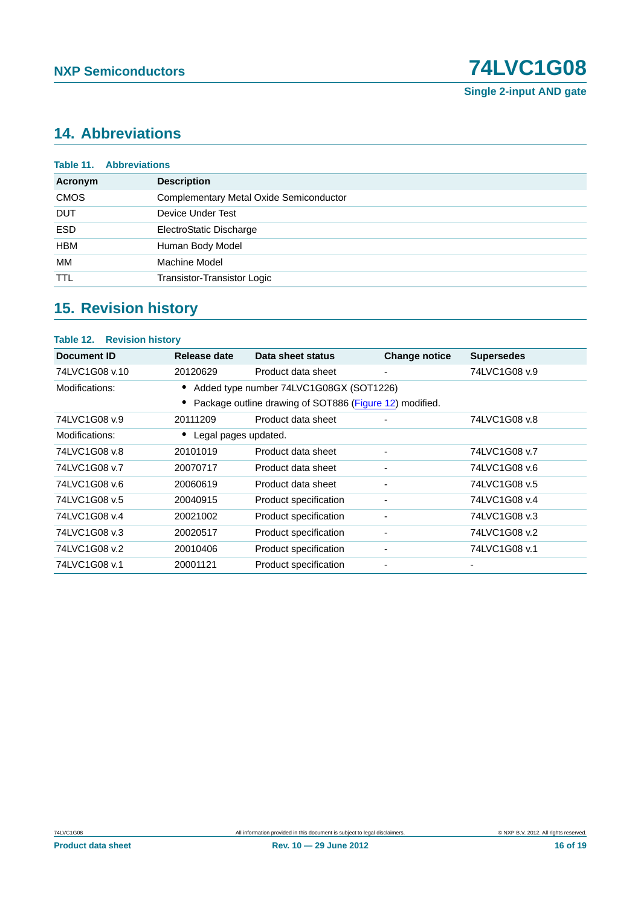**Single 2-input AND gate**

## <span id="page-15-0"></span>**14. Abbreviations**

|             | <b>Table 11. Abbreviations</b>          |
|-------------|-----------------------------------------|
| Acronym     | <b>Description</b>                      |
| <b>CMOS</b> | Complementary Metal Oxide Semiconductor |
| <b>DUT</b>  | Device Under Test                       |
| <b>ESD</b>  | ElectroStatic Discharge                 |
| <b>HBM</b>  | Human Body Model                        |
| МM          | Machine Model                           |
| <b>TTL</b>  | Transistor-Transistor Logic             |
|             |                                         |

## <span id="page-15-1"></span>**15. Revision history**

#### **Table 12. Revision history**

| Document ID                                             | Release date         | Data sheet status                       | <b>Change notice</b>     | <b>Supersedes</b> |  |
|---------------------------------------------------------|----------------------|-----------------------------------------|--------------------------|-------------------|--|
| 74LVC1G08 v.10                                          | 20120629             | Product data sheet                      | $\overline{\phantom{0}}$ | 74LVC1G08 v.9     |  |
| Modifications:                                          |                      | Added type number 74LVC1G08GX (SOT1226) |                          |                   |  |
| Package outline drawing of SOT886 (Figure 12) modified. |                      |                                         |                          |                   |  |
| 74LVC1G08 v.9                                           | 20111209             | Product data sheet                      |                          | 74LVC1G08 v.8     |  |
| Modifications:                                          | Legal pages updated. |                                         |                          |                   |  |
| 74LVC1G08 v.8                                           | 20101019             | Product data sheet                      | ٠                        | 74LVC1G08 v.7     |  |
| 74LVC1G08 v.7                                           | 20070717             | Product data sheet                      |                          | 74LVC1G08 v.6     |  |
| 74LVC1G08 v.6                                           | 20060619             | Product data sheet                      | -                        | 74LVC1G08 v.5     |  |
| 74LVC1G08 v.5                                           | 20040915             | Product specification                   | ٠                        | 74LVC1G08 v.4     |  |
| 74LVC1G08 v.4                                           | 20021002             | Product specification                   | ۰                        | 74LVC1G08 v.3     |  |
| 74LVC1G08 v.3                                           | 20020517             | Product specification                   | ٠                        | 74LVC1G08 v.2     |  |
| 74LVC1G08 v.2                                           | 20010406             | Product specification                   | ٠                        | 74LVC1G08 v.1     |  |
| 74LVC1G08 v.1                                           | 20001121             | Product specification                   |                          |                   |  |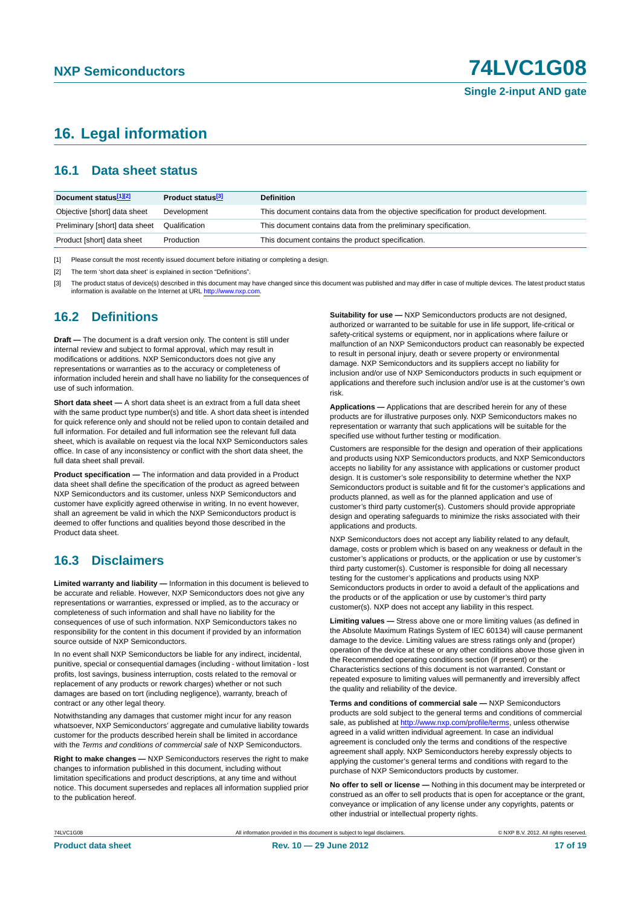## <span id="page-16-0"></span>**16. Legal information**

#### <span id="page-16-1"></span>**16.1 Data sheet status**

| Document status[1][2]          | Product status <sup>[3]</sup> | <b>Definition</b>                                                                     |
|--------------------------------|-------------------------------|---------------------------------------------------------------------------------------|
| Objective [short] data sheet   | Development                   | This document contains data from the objective specification for product development. |
| Preliminary [short] data sheet | Qualification                 | This document contains data from the preliminary specification.                       |
| Product [short] data sheet     | Production                    | This document contains the product specification.                                     |

[1] Please consult the most recently issued document before initiating or completing a design.

[2] The term 'short data sheet' is explained in section "Definitions".

[3] The product status of device(s) described in this document may have changed since this document was published and may differ in case of multiple devices. The latest product status<br>information is available on the Intern

#### <span id="page-16-2"></span>**16.2 Definitions**

**Draft —** The document is a draft version only. The content is still under internal review and subject to formal approval, which may result in modifications or additions. NXP Semiconductors does not give any representations or warranties as to the accuracy or completeness of information included herein and shall have no liability for the consequences of use of such information.

**Short data sheet —** A short data sheet is an extract from a full data sheet with the same product type number(s) and title. A short data sheet is intended for quick reference only and should not be relied upon to contain detailed and full information. For detailed and full information see the relevant full data sheet, which is available on request via the local NXP Semiconductors sales office. In case of any inconsistency or conflict with the short data sheet, the full data sheet shall prevail.

**Product specification —** The information and data provided in a Product data sheet shall define the specification of the product as agreed between NXP Semiconductors and its customer, unless NXP Semiconductors and customer have explicitly agreed otherwise in writing. In no event however, shall an agreement be valid in which the NXP Semiconductors product is deemed to offer functions and qualities beyond those described in the Product data sheet.

### <span id="page-16-3"></span>**16.3 Disclaimers**

**Limited warranty and liability —** Information in this document is believed to be accurate and reliable. However, NXP Semiconductors does not give any representations or warranties, expressed or implied, as to the accuracy or completeness of such information and shall have no liability for the consequences of use of such information. NXP Semiconductors takes no responsibility for the content in this document if provided by an information source outside of NXP Semiconductors.

In no event shall NXP Semiconductors be liable for any indirect, incidental, punitive, special or consequential damages (including - without limitation - lost profits, lost savings, business interruption, costs related to the removal or replacement of any products or rework charges) whether or not such damages are based on tort (including negligence), warranty, breach of contract or any other legal theory.

Notwithstanding any damages that customer might incur for any reason whatsoever, NXP Semiconductors' aggregate and cumulative liability towards customer for the products described herein shall be limited in accordance with the *Terms and conditions of commercial sale* of NXP Semiconductors.

**Right to make changes —** NXP Semiconductors reserves the right to make changes to information published in this document, including without limitation specifications and product descriptions, at any time and without notice. This document supersedes and replaces all information supplied prior to the publication hereof.

**Suitability for use —** NXP Semiconductors products are not designed, authorized or warranted to be suitable for use in life support, life-critical or safety-critical systems or equipment, nor in applications where failure or malfunction of an NXP Semiconductors product can reasonably be expected to result in personal injury, death or severe property or environmental damage. NXP Semiconductors and its suppliers accept no liability for inclusion and/or use of NXP Semiconductors products in such equipment or applications and therefore such inclusion and/or use is at the customer's own risk.

**Applications —** Applications that are described herein for any of these products are for illustrative purposes only. NXP Semiconductors makes no representation or warranty that such applications will be suitable for the specified use without further testing or modification.

Customers are responsible for the design and operation of their applications and products using NXP Semiconductors products, and NXP Semiconductors accepts no liability for any assistance with applications or customer product design. It is customer's sole responsibility to determine whether the NXP Semiconductors product is suitable and fit for the customer's applications and products planned, as well as for the planned application and use of customer's third party customer(s). Customers should provide appropriate design and operating safeguards to minimize the risks associated with their applications and products.

NXP Semiconductors does not accept any liability related to any default, damage, costs or problem which is based on any weakness or default in the customer's applications or products, or the application or use by customer's third party customer(s). Customer is responsible for doing all necessary testing for the customer's applications and products using NXP Semiconductors products in order to avoid a default of the applications and the products or of the application or use by customer's third party customer(s). NXP does not accept any liability in this respect.

**Limiting values —** Stress above one or more limiting values (as defined in the Absolute Maximum Ratings System of IEC 60134) will cause permanent damage to the device. Limiting values are stress ratings only and (proper) operation of the device at these or any other conditions above those given in the Recommended operating conditions section (if present) or the Characteristics sections of this document is not warranted. Constant or repeated exposure to limiting values will permanently and irreversibly affect the quality and reliability of the device.

**Terms and conditions of commercial sale —** NXP Semiconductors products are sold subject to the general terms and conditions of commercial sale, as published at<http://www.nxp.com/profile/terms>, unless otherwise agreed in a valid written individual agreement. In case an individual agreement is concluded only the terms and conditions of the respective agreement shall apply. NXP Semiconductors hereby expressly objects to applying the customer's general terms and conditions with regard to the purchase of NXP Semiconductors products by customer.

**No offer to sell or license —** Nothing in this document may be interpreted or construed as an offer to sell products that is open for acceptance or the grant, conveyance or implication of any license under any copyrights, patents or other industrial or intellectual property rights.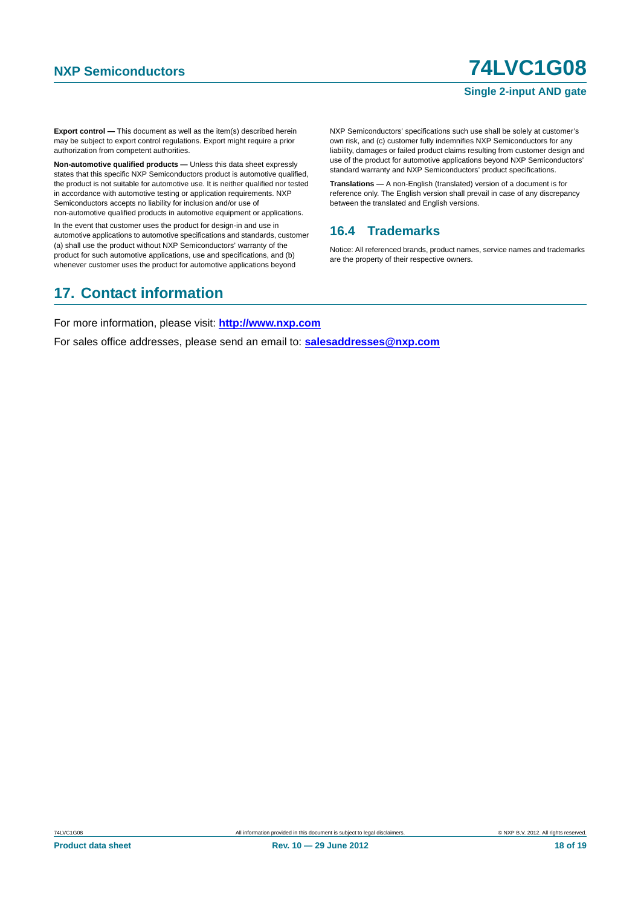#### **Single 2-input AND gate**

**Export control —** This document as well as the item(s) described herein may be subject to export control regulations. Export might require a prior authorization from competent authorities.

**Non-automotive qualified products —** Unless this data sheet expressly states that this specific NXP Semiconductors product is automotive qualified, the product is not suitable for automotive use. It is neither qualified nor tested in accordance with automotive testing or application requirements. NXP Semiconductors accepts no liability for inclusion and/or use of non-automotive qualified products in automotive equipment or applications.

In the event that customer uses the product for design-in and use in automotive applications to automotive specifications and standards, customer (a) shall use the product without NXP Semiconductors' warranty of the product for such automotive applications, use and specifications, and (b) whenever customer uses the product for automotive applications beyond

NXP Semiconductors' specifications such use shall be solely at customer's own risk, and (c) customer fully indemnifies NXP Semiconductors for any liability, damages or failed product claims resulting from customer design and use of the product for automotive applications beyond NXP Semiconductors' standard warranty and NXP Semiconductors' product specifications.

**Translations —** A non-English (translated) version of a document is for reference only. The English version shall prevail in case of any discrepancy between the translated and English versions.

#### <span id="page-17-0"></span>**16.4 Trademarks**

Notice: All referenced brands, product names, service names and trademarks are the property of their respective owners.

## <span id="page-17-1"></span>**17. Contact information**

For more information, please visit: **http://www.nxp.com**

For sales office addresses, please send an email to: **salesaddresses@nxp.com**